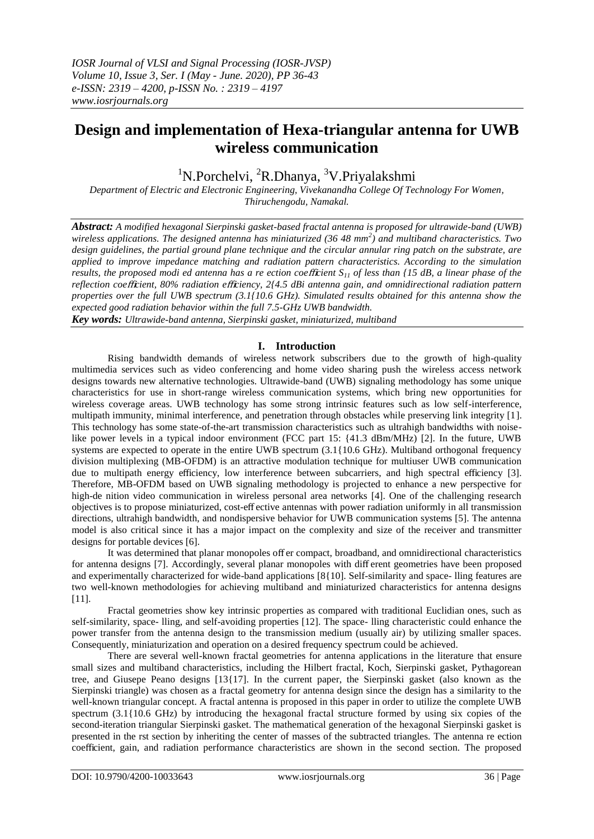# **Design and implementation of Hexa-triangular antenna for UWB wireless communication**

 $1^1$ N.Porchelvi,  $2^1$ R.Dhanya,  $3^1$ V.Priyalakshmi

*Department of Electric and Electronic Engineering, Vivekanandha College Of Technology For Women, Thiruchengodu, Namakal.*

*Abstract: A modified hexagonal Sierpinski gasket-based fractal antenna is proposed for ultrawide-band (UWB)*  wireless applications. The designed antenna has miniaturized (36 48 mm<sup>2</sup>) and multiband characteristics. Two *design guidelines, the partial ground plane technique and the circular annular ring patch on the substrate, are applied to improve impedance matching and radiation pattern characteristics. According to the simulation results, the proposed modi ed antenna has a re ection coe*ffi*cient S<sup>11</sup> of less than {15 dB, a linear phase of the reflection coe*ffi*cient, 80% radiation e*ffi*ciency, 2{4.5 dBi antenna gain, and omnidirectional radiation pattern properties over the full UWB spectrum (3.1{10.6 GHz). Simulated results obtained for this antenna show the expected good radiation behavior within the full 7.5-GHz UWB bandwidth.*

*Key words: Ultrawide-band antenna, Sierpinski gasket, miniaturized, multiband*

## **I. Introduction**

Rising bandwidth demands of wireless network subscribers due to the growth of high-quality multimedia services such as video conferencing and home video sharing push the wireless access network designs towards new alternative technologies. Ultrawide-band (UWB) signaling methodology has some unique characteristics for use in short-range wireless communication systems, which bring new opportunities for wireless coverage areas. UWB technology has some strong intrinsic features such as low self-interference, multipath immunity, minimal interference, and penetration through obstacles while preserving link integrity [1]. This technology has some state-of-the-art transmission characteristics such as ultrahigh bandwidths with noiselike power levels in a typical indoor environment (FCC part 15: {41.3 dBm/MHz) [2]. In the future, UWB systems are expected to operate in the entire UWB spectrum  $(3.1\{10.6 \text{ GHz})$ . Multiband orthogonal frequency division multiplexing (MB-OFDM) is an attractive modulation technique for multiuser UWB communication due to multipath energy efficiency, low interference between subcarriers, and high spectral efficiency [3]. Therefore, MB-OFDM based on UWB signaling methodology is projected to enhance a new perspective for high-de nition video communication in wireless personal area networks [4]. One of the challenging research objectives is to propose miniaturized, cost-eff ective antennas with power radiation uniformly in all transmission directions, ultrahigh bandwidth, and nondispersive behavior for UWB communication systems [5]. The antenna model is also critical since it has a major impact on the complexity and size of the receiver and transmitter designs for portable devices [6].

It was determined that planar monopoles off er compact, broadband, and omnidirectional characteristics for antenna designs [7]. Accordingly, several planar monopoles with diff erent geometries have been proposed and experimentally characterized for wide-band applications [8{10]. Self-similarity and space- lling features are two well-known methodologies for achieving multiband and miniaturized characteristics for antenna designs [11].

Fractal geometries show key intrinsic properties as compared with traditional Euclidian ones, such as self-similarity, space- lling, and self-avoiding properties [12]. The space- lling characteristic could enhance the power transfer from the antenna design to the transmission medium (usually air) by utilizing smaller spaces. Consequently, miniaturization and operation on a desired frequency spectrum could be achieved.

There are several well-known fractal geometries for antenna applications in the literature that ensure small sizes and multiband characteristics, including the Hilbert fractal, Koch, Sierpinski gasket, Pythagorean tree, and Giusepe Peano designs [13{17]. In the current paper, the Sierpinski gasket (also known as the Sierpinski triangle) was chosen as a fractal geometry for antenna design since the design has a similarity to the well-known triangular concept. A fractal antenna is proposed in this paper in order to utilize the complete UWB spectrum (3.1{10.6 GHz) by introducing the hexagonal fractal structure formed by using six copies of the second-iteration triangular Sierpinski gasket. The mathematical generation of the hexagonal Sierpinski gasket is presented in the rst section by inheriting the center of masses of the subtracted triangles. The antenna re ection coefficient, gain, and radiation performance characteristics are shown in the second section. The proposed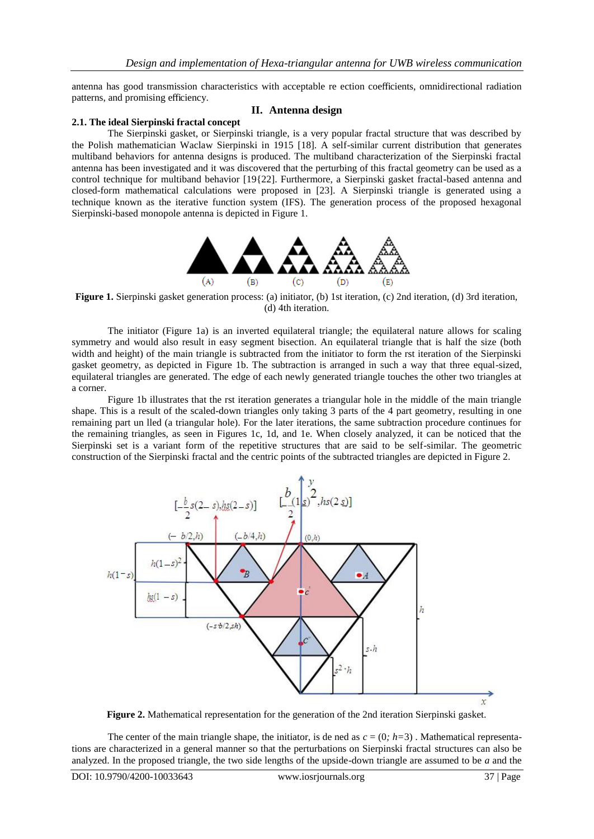antenna has good transmission characteristics with acceptable re ection coefficients, omnidirectional radiation patterns, and promising efficiency.

## **II. Antenna design**

## **2.1. The ideal Sierpinski fractal concept**

The Sierpinski gasket, or Sierpinski triangle, is a very popular fractal structure that was described by the Polish mathematician Waclaw Sierpinski in 1915 [18]. A self-similar current distribution that generates multiband behaviors for antenna designs is produced. The multiband characterization of the Sierpinski fractal antenna has been investigated and it was discovered that the perturbing of this fractal geometry can be used as a control technique for multiband behavior [19{22]. Furthermore, a Sierpinski gasket fractal-based antenna and closed-form mathematical calculations were proposed in [23]. A Sierpinski triangle is generated using a technique known as the iterative function system (IFS). The generation process of the proposed hexagonal Sierpinski-based monopole antenna is depicted in Figure 1.



**Figure 1.** Sierpinski gasket generation process: (a) initiator, (b) 1st iteration, (c) 2nd iteration, (d) 3rd iteration, (d) 4th iteration.

The initiator (Figure 1a) is an inverted equilateral triangle; the equilateral nature allows for scaling symmetry and would also result in easy segment bisection. An equilateral triangle that is half the size (both width and height) of the main triangle is subtracted from the initiator to form the rst iteration of the Sierpinski gasket geometry, as depicted in Figure 1b. The subtraction is arranged in such a way that three equal-sized, equilateral triangles are generated. The edge of each newly generated triangle touches the other two triangles at a corner.

Figure 1b illustrates that the rst iteration generates a triangular hole in the middle of the main triangle shape. This is a result of the scaled-down triangles only taking 3 parts of the 4 part geometry, resulting in one remaining part un lled (a triangular hole). For the later iterations, the same subtraction procedure continues for the remaining triangles, as seen in Figures 1c, 1d, and 1e. When closely analyzed, it can be noticed that the Sierpinski set is a variant form of the repetitive structures that are said to be self-similar. The geometric construction of the Sierpinski fractal and the centric points of the subtracted triangles are depicted in Figure 2.



**Figure 2.** Mathematical representation for the generation of the 2nd iteration Sierpinski gasket.

The center of the main triangle shape, the initiator, is de ned as  $c = (0; h=3)$ . Mathematical representations are characterized in a general manner so that the perturbations on Sierpinski fractal structures can also be analyzed. In the proposed triangle, the two side lengths of the upside-down triangle are assumed to be *a* and the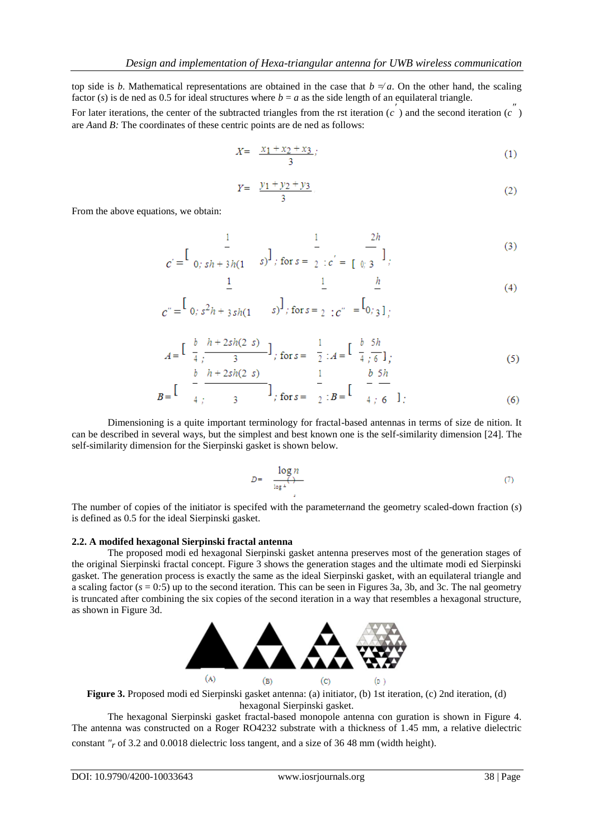top side is *b*. Mathematical representations are obtained in the case that  $b \neq a$ . On the other hand, the scaling factor (*s*) is de ned as 0.5 for ideal structures where  $b = a$  as the side length of an equilateral triangle.

For later iterations, the center of the subtracted triangles from the rst iteration  $(c^{\prime})$  and the second iteration  $(c^{''})$ are *A*and *B:* The coordinates of these centric points are de ned as follows:

$$
X = \frac{x_1 + x_2 + x_3}{3};
$$
\n(1)

$$
Y = \frac{y_1 + y_2 + y_3}{3} \tag{2}
$$

 $\boldsymbol{h}$ 

From the above equations, we obtain:

 $\mathbf{1}$ 

$$
c' = \begin{bmatrix} \frac{1}{s} & \frac{1}{s} \\ 0, & \frac{1}{s} + 3h(1 - s) \end{bmatrix}, \text{ for } s = \begin{bmatrix} \frac{1}{s} & \frac{2h}{s} \\ 2 & \frac{1}{s} & \frac{1}{s} \end{bmatrix},
$$
 (3)

$$
c'' = \begin{bmatrix} 1 & 1 \\ 0 & s^2h + 3sh(1 & s) \end{bmatrix}; \text{ for } s = \begin{bmatrix} 1 & 1 \\ 2 & s^2 \end{bmatrix}; c'' = \begin{bmatrix} 1 \\ 0 & s \end{bmatrix};
$$
 (4)

 $\mathbf{1}$ 

$$
A = \begin{bmatrix} \frac{b}{4} & \frac{h+2sh(2-s)}{3} \\ b & \frac{h+2sh(2-s)}{3} \end{bmatrix}, \text{ for } s = \begin{bmatrix} \frac{1}{2} \\ \frac{1}{4} \end{bmatrix}, A = \begin{bmatrix} \frac{b}{4} \\ \frac{5h}{6} \\ \frac{b}{2} \end{bmatrix},
$$
 (5)

$$
B = \begin{bmatrix} 1 & 1 \\ 4 & 1 \end{bmatrix}, \quad \text{for } s = \begin{bmatrix} 1 & 1 \\ 2 & 1 \end{bmatrix}, B = \begin{bmatrix} 1 & 1 \\ 1 & 1 \end{bmatrix}.
$$

Dimensioning is a quite important terminology for fractal-based antennas in terms of size de nition. It can be described in several ways, but the simplest and best known one is the self-similarity dimension [24]. The self-similarity dimension for the Sierpinski gasket is shown below.

$$
D = \frac{\log n}{\log 2} \tag{7}
$$

The number of copies of the initiator is specifed with the parameter*n*and the geometry scaled-down fraction (*s*) is defined as 0.5 for the ideal Sierpinski gasket.

#### **2.2. A modifed hexagonal Sierpinski fractal antenna**

The proposed modi ed hexagonal Sierpinski gasket antenna preserves most of the generation stages of the original Sierpinski fractal concept. Figure 3 shows the generation stages and the ultimate modi ed Sierpinski gasket. The generation process is exactly the same as the ideal Sierpinski gasket, with an equilateral triangle and a scaling factor  $(s = 0.5)$  up to the second iteration. This can be seen in Figures 3a, 3b, and 3c. The nal geometry is truncated after combining the six copies of the second iteration in a way that resembles a hexagonal structure, as shown in Figure 3d.



**Figure 3.** Proposed modi ed Sierpinski gasket antenna: (a) initiator, (b) 1st iteration, (c) 2nd iteration, (d) hexagonal Sierpinski gasket.

The hexagonal Sierpinski gasket fractal-based monopole antenna con guration is shown in Figure 4. The antenna was constructed on a Roger RO4232 substrate with a thickness of 1.45 mm, a relative dielectric constant *"r* of 3.2 and 0.0018 dielectric loss tangent, and a size of 36 48 mm (width height).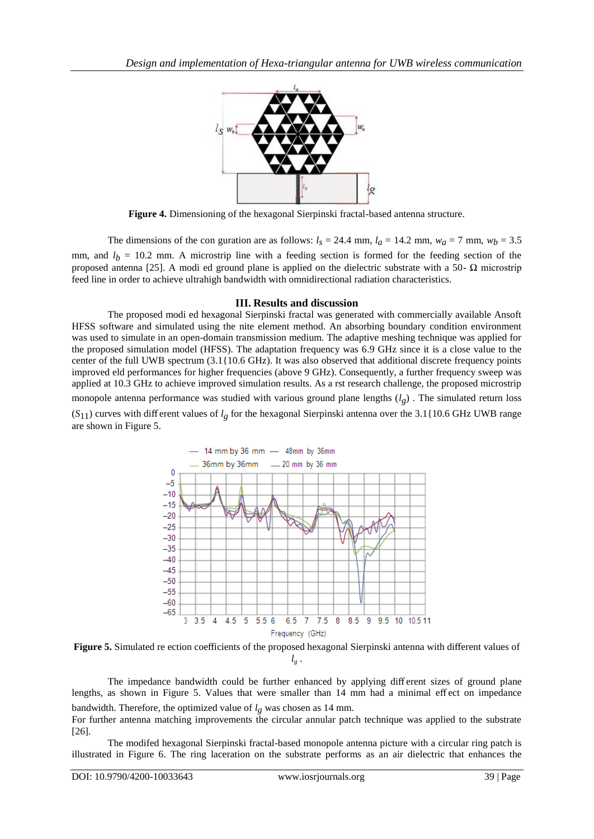

**Figure 4.** Dimensioning of the hexagonal Sierpinski fractal-based antenna structure.

The dimensions of the con guration are as follows:  $l<sub>s</sub> = 24.4$  mm,  $l<sub>d</sub> = 14.2$  mm,  $w<sub>d</sub> = 7$  mm,  $w<sub>b</sub> = 3.5$ mm, and  $l_b$  = 10.2 mm. A microstrip line with a feeding section is formed for the feeding section of the proposed antenna [25]. A modi ed ground plane is applied on the dielectric substrate with a 50- Ω microstrip feed line in order to achieve ultrahigh bandwidth with omnidirectional radiation characteristics.

## **III. Results and discussion**

The proposed modi ed hexagonal Sierpinski fractal was generated with commercially available Ansoft HFSS software and simulated using the nite element method. An absorbing boundary condition environment was used to simulate in an open-domain transmission medium. The adaptive meshing technique was applied for the proposed simulation model (HFSS). The adaptation frequency was 6.9 GHz since it is a close value to the center of the full UWB spectrum (3.1{10.6 GHz). It was also observed that additional discrete frequency points improved eld performances for higher frequencies (above 9 GHz). Consequently, a further frequency sweep was applied at 10.3 GHz to achieve improved simulation results. As a rst research challenge, the proposed microstrip monopole antenna performance was studied with various ground plane lengths (*lg*) . The simulated return loss  $(S_{11})$  curves with diff erent values of  $l_g$  for the hexagonal Sierpinski antenna over the 3.1{10.6 GHz UWB range are shown in Figure 5.





The impedance bandwidth could be further enhanced by applying diff erent sizes of ground plane lengths, as shown in Figure 5. Values that were smaller than 14 mm had a minimal eff ect on impedance bandwidth. Therefore, the optimized value of  $l_g$  was chosen as 14 mm.

For further antenna matching improvements the circular annular patch technique was applied to the substrate [26].

The modifed hexagonal Sierpinski fractal-based monopole antenna picture with a circular ring patch is illustrated in Figure 6. The ring laceration on the substrate performs as an air dielectric that enhances the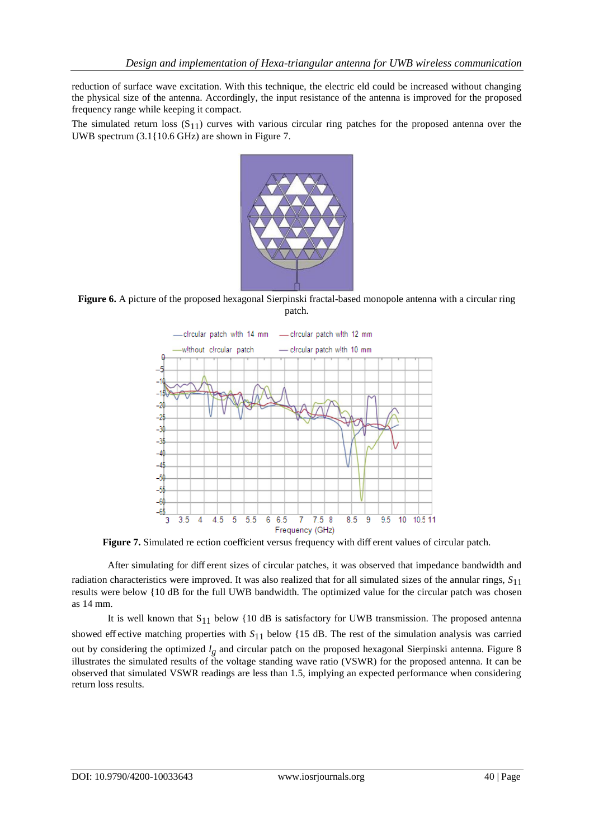reduction of surface wave excitation. With this technique, the electric eld could be increased without changing the physical size of the antenna. Accordingly, the input resistance of the antenna is improved for the proposed frequency range while keeping it compact.

The simulated return loss  $(S_{11})$  curves with various circular ring patches for the proposed antenna over the UWB spectrum (3.1{10.6 GHz) are shown in Figure 7.



**Figure 6.** A picture of the proposed hexagonal Sierpinski fractal-based monopole antenna with a circular ring patch.



**Figure 7.** Simulated re ection coefficient versus frequency with diff erent values of circular patch.

After simulating for diff erent sizes of circular patches, it was observed that impedance bandwidth and radiation characteristics were improved. It was also realized that for all simulated sizes of the annular rings, *S*11 results were below {10 dB for the full UWB bandwidth. The optimized value for the circular patch was chosen as 14 mm.

It is well known that  $S_{11}$  below {10 dB is satisfactory for UWB transmission. The proposed antenna showed eff ective matching properties with *S*11 below {15 dB. The rest of the simulation analysis was carried out by considering the optimized *lg* and circular patch on the proposed hexagonal Sierpinski antenna. Figure 8 illustrates the simulated results of the voltage standing wave ratio (VSWR) for the proposed antenna. It can be observed that simulated VSWR readings are less than 1.5, implying an expected performance when considering return loss results.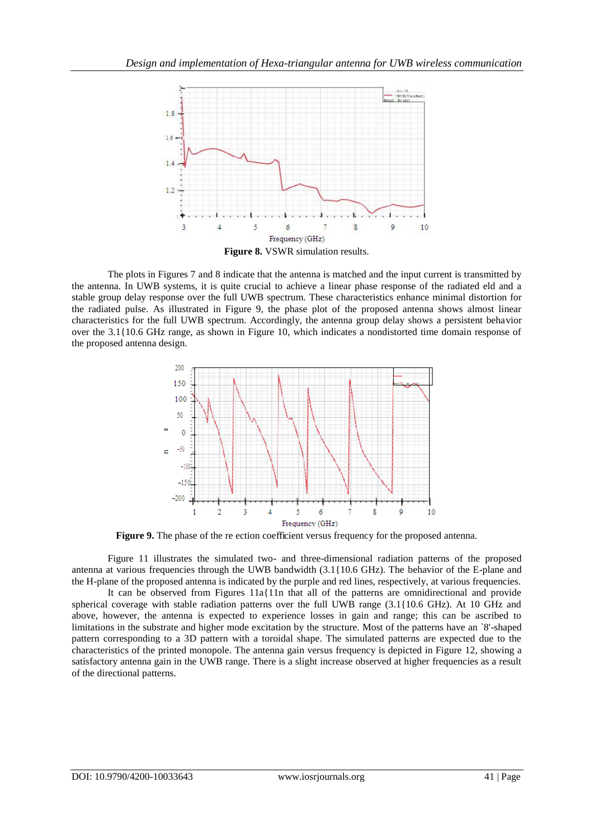

The plots in Figures 7 and 8 indicate that the antenna is matched and the input current is transmitted by the antenna. In UWB systems, it is quite crucial to achieve a linear phase response of the radiated eld and a stable group delay response over the full UWB spectrum. These characteristics enhance minimal distortion for the radiated pulse. As illustrated in Figure 9, the phase plot of the proposed antenna shows almost linear characteristics for the full UWB spectrum. Accordingly, the antenna group delay shows a persistent behavior over the 3.1{10.6 GHz range, as shown in Figure 10, which indicates a nondistorted time domain response of the proposed antenna design.



**Figure 9.** The phase of the re ection coefficient versus frequency for the proposed antenna.

Figure 11 illustrates the simulated two- and three-dimensional radiation patterns of the proposed antenna at various frequencies through the UWB bandwidth (3.1{10.6 GHz). The behavior of the E-plane and the H-plane of the proposed antenna is indicated by the purple and red lines, respectively, at various frequencies.

It can be observed from Figures 11a{11n that all of the patterns are omnidirectional and provide spherical coverage with stable radiation patterns over the full UWB range (3.1{10.6 GHz). At 10 GHz and above, however, the antenna is expected to experience losses in gain and range; this can be ascribed to limitations in the substrate and higher mode excitation by the structure. Most of the patterns have an `8'-shaped pattern corresponding to a 3D pattern with a toroidal shape. The simulated patterns are expected due to the characteristics of the printed monopole. The antenna gain versus frequency is depicted in Figure 12, showing a satisfactory antenna gain in the UWB range. There is a slight increase observed at higher frequencies as a result of the directional patterns.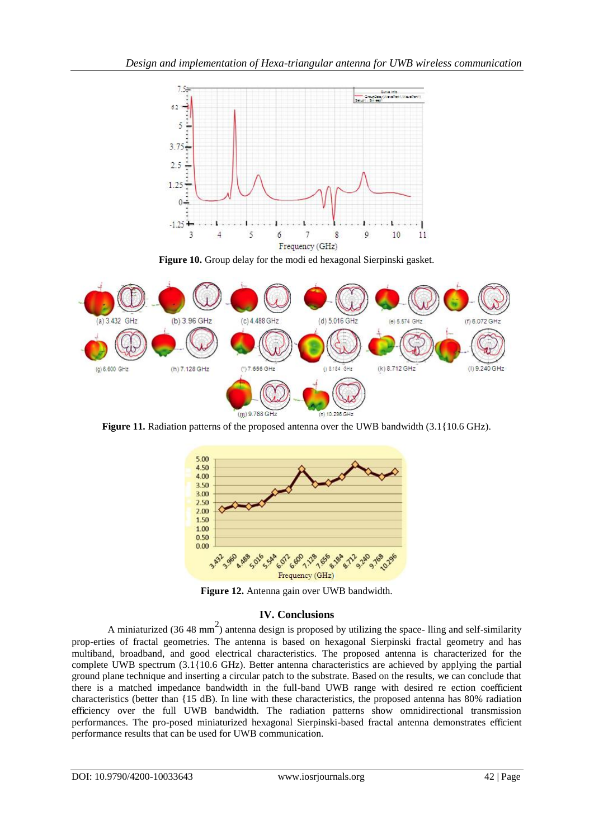

**Figure 10.** Group delay for the modi ed hexagonal Sierpinski gasket.



**Figure 11.** Radiation patterns of the proposed antenna over the UWB bandwidth (3.1{10.6 GHz).



**Figure 12.** Antenna gain over UWB bandwidth.

## **IV. Conclusions**

A miniaturized (36 48 mm<sup>2</sup>) antenna design is proposed by utilizing the space- lling and self-similarity prop-erties of fractal geometries. The antenna is based on hexagonal Sierpinski fractal geometry and has multiband, broadband, and good electrical characteristics. The proposed antenna is characterized for the complete UWB spectrum (3.1{10.6 GHz). Better antenna characteristics are achieved by applying the partial ground plane technique and inserting a circular patch to the substrate. Based on the results, we can conclude that there is a matched impedance bandwidth in the full-band UWB range with desired re ection coefficient characteristics (better than {15 dB). In line with these characteristics, the proposed antenna has 80% radiation efficiency over the full UWB bandwidth. The radiation patterns show omnidirectional transmission performances. The pro-posed miniaturized hexagonal Sierpinski-based fractal antenna demonstrates efficient performance results that can be used for UWB communication.